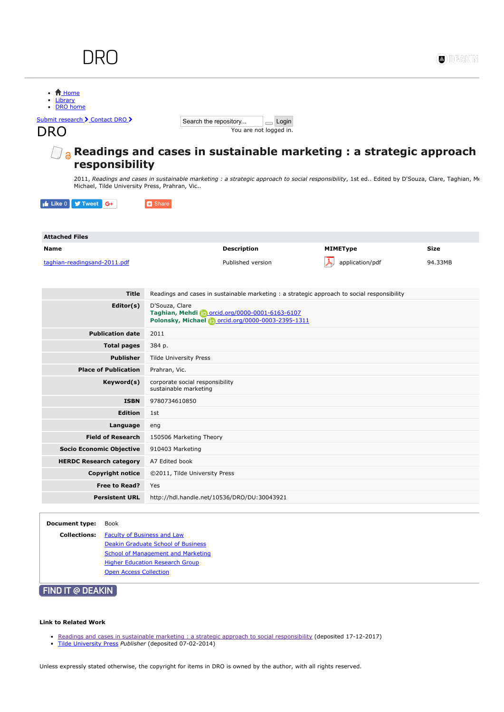|                                               |                                                                                                                                                 |                 | DI EZAN     |
|-----------------------------------------------|-------------------------------------------------------------------------------------------------------------------------------------------------|-----------------|-------------|
| <b>音 Home</b><br>Library                      |                                                                                                                                                 |                 |             |
| <b>DRO</b> home                               |                                                                                                                                                 |                 |             |
| Submit research > Contact DRO >               | Search the repository<br>$\Box$ Login                                                                                                           |                 |             |
| DRO                                           | You are not logged in.                                                                                                                          |                 |             |
| responsibility                                | Readings and cases in sustainable marketing : a strategic approach                                                                              |                 |             |
| Michael, Tilde University Press, Prahran, Vic | 2011, Readings and cases in sustainable marketing : a strategic approach to social responsibility, 1st ed Edited by D'Souza, Clare, Taghian, Me |                 |             |
|                                               |                                                                                                                                                 |                 |             |
| $\mathbf{f}$ Like 0<br><b>y</b> Tweet G+      | <b>B</b> Share                                                                                                                                  |                 |             |
|                                               |                                                                                                                                                 |                 |             |
| <b>Attached Files</b>                         |                                                                                                                                                 |                 |             |
| <b>Name</b>                                   | <b>Description</b>                                                                                                                              | <b>MIMEType</b> | <b>Size</b> |
| taghian-readingsand-2011.pdf                  | Published version                                                                                                                               | application/pdf | 94.33MB     |
|                                               |                                                                                                                                                 |                 |             |
|                                               |                                                                                                                                                 |                 |             |
|                                               |                                                                                                                                                 |                 |             |
| Title                                         | Readings and cases in sustainable marketing: a strategic approach to social responsibility                                                      |                 |             |
| Editor(s)                                     | D'Souza, Clare<br>Taghian, Mehdi Dorcid.org/0000-0001-6163-6107<br>Polonsky, Michael (Dorcid.org/0000-0003-2395-1311                            |                 |             |
| <b>Publication date</b>                       | 2011                                                                                                                                            |                 |             |
| <b>Total pages</b>                            | 384 p.                                                                                                                                          |                 |             |
| <b>Publisher</b>                              | <b>Tilde University Press</b>                                                                                                                   |                 |             |
| <b>Place of Publication</b>                   | Prahran, Vic.                                                                                                                                   |                 |             |
| Keyword(s)                                    | corporate social responsibility<br>sustainable marketing                                                                                        |                 |             |
| <b>ISBN</b>                                   | 9780734610850                                                                                                                                   |                 |             |
| <b>Edition</b>                                | 1st                                                                                                                                             |                 |             |
|                                               |                                                                                                                                                 |                 |             |
| Language<br><b>Field of Research</b>          | eng<br>150506 Marketing Theory                                                                                                                  |                 |             |
| <b>Socio Economic Objective</b>               | 910403 Marketing                                                                                                                                |                 |             |
| <b>HERDC Research category</b>                | A7 Edited book                                                                                                                                  |                 |             |
| <b>Copyright notice</b>                       | ©2011, Tilde University Press                                                                                                                   |                 |             |
| Free to Read?                                 | Yes                                                                                                                                             |                 |             |

**Collections:** [Faculty of Business and Law](http://dro.deakin.edu.au/collection/DU:30000288) [Deakin Graduate School of Business](http://dro.deakin.edu.au/collection/DU:30000289) [School of Management and Marketing](http://dro.deakin.edu.au/collection/DU:30000293) **[Higher Education Research Group](http://dro.deakin.edu.au/collection/DU:30016444) [Open Access Collection](http://dro.deakin.edu.au/collection/DU:30051971)** 

## **FIND IT @ DEAKIN**

## Link to Related Work

- [Readings and cases in sustainable marketing : a strategic approach to social responsibility](http://dro.deakin.edu.au/view/DU:30043921) (deposited 17-12-2017)
- [Tilde University Press](http://dro.deakin.edu.au/view/DU:30060305) Publisher (deposited 07-02-2014)

Unless expressly stated otherwise, the copyright for items in DRO is owned by the author, with all rights reserved.